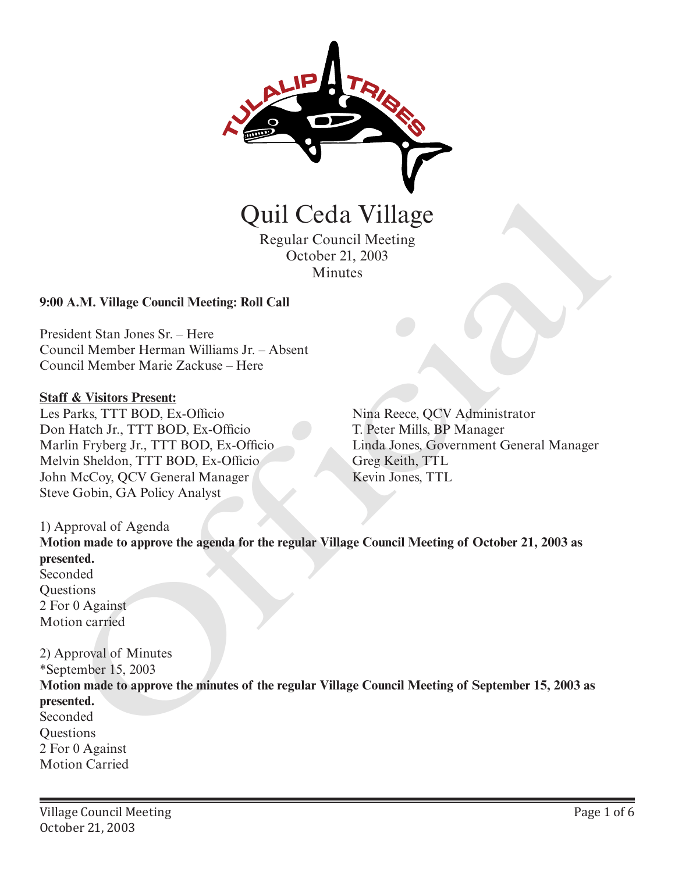

Regular Council Meeting October 21, 2003 Minutes

#### **9:00 A.M. Village Council Meeting: Roll Call**

President Stan Jones Sr. – Here Council Member Herman Williams Jr. – Absent Council Member Marie Zackuse – Here

#### **Staff & Visitors Present:**

Les Parks, TTT BOD, Ex-Officio Don Hatch Jr., TTT BOD, Ex-Officio Marlin Fryberg Jr., TTT BOD, Ex-Officio Melvin Sheldon, TTT BOD, Ex-Officio John McCoy, QCV General Manager Steve Gobin, GA Policy Analyst

Nina Reece, QCV Administrator T. Peter Mills, BP Manager Linda Jones, Government General Manager Greg Keith, TTL Kevin Jones, TTL

#### 1) Approval of Agenda

**Motion made to approve the agenda for the regular Village Council Meeting of October 21, 2003 as presented.** Seconded **Ouestions** 2 For 0 Against Motion carried

2) Approval of Minutes \*September 15, 2003 **Motion made to approve the minutes of the regular Village Council Meeting of September 15, 2003 as presented.** Seconded **Questions** 2 For 0 Against Motion Carried Quil Ceda Village<br>
Regular Council Meeting<br>
Cetober 21, 2003<br>
Minutes<br>
A.M. Village Council Meeting: Roll Call<br>
dent Stan Jones Sr. – Here<br>
Includent Stan Jones Sr. – Here<br>
F& Visitors Present<br>
FRASE, TTT BOD, Ex-Officio<br>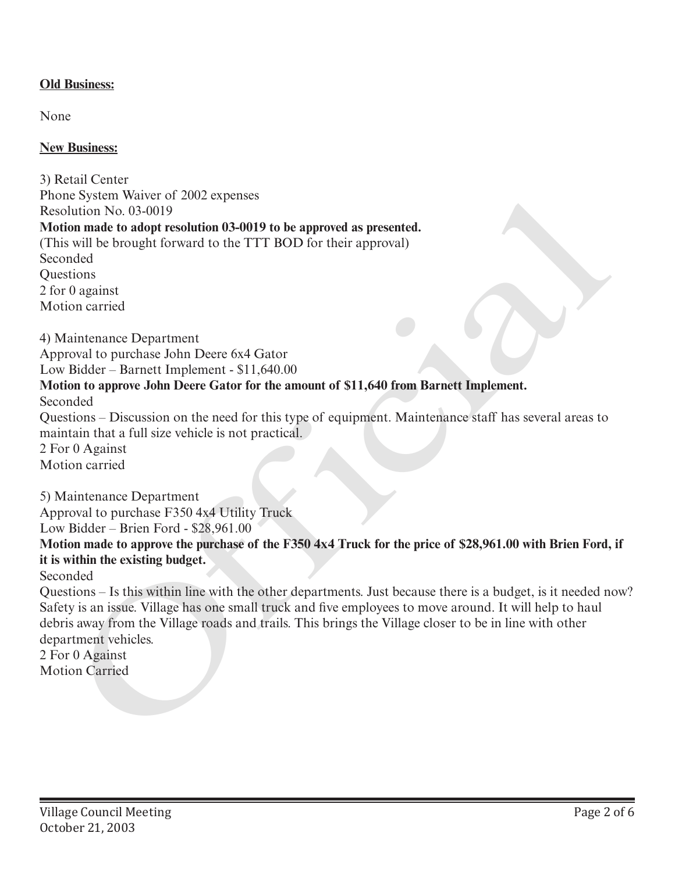# **Old Business:**

None

### **New Business:**

3) Retail Center Phone System Waiver of 2002 expenses Resolution No. 03-0019 **Motion made to adopt resolution 03-0019 to be approved as presented.** (This will be brought forward to the TTT BOD for their approval) Seconded **Ouestions** 2 for 0 against Motion carried 4) Maintenance Department Approval to purchase John Deere 6x4 Gator Low Bidder – Barnett Implement - \$11,640.00 **Motion to approve John Deere Gator for the amount of \$11,640 from Barnett Implement.** Seconded Questions – Discussion on the need for this type of equipment. Maintenance staff has several areas to maintain that a full size vehicle is not practical. 2 For 0 Against Motion carried 5) Maintenance Department Approval to purchase F350 4x4 Utility Truck Low Bidder – Brien Ford - \$28,961.00 **Motion made to approve the purchase of the F350 4x4 Truck for the price of \$28,961.00 with Brien Ford, if it is within the existing budget.** Phone System waver of 2002 expenses<br>
Phone System waver of 2002 expenses<br>
Motoim made to adopt resolution 03-0019 to be approved as presented.<br>
Motoim made to adopt resolution 03-0019 to be approved as presented.<br>
Seconded

Seconded

Questions – Is this within line with the other departments. Just because there is a budget, is it needed now? Safety is an issue. Village has one small truck and five employees to move around. It will help to haul debris away from the Village roads and trails. This brings the Village closer to be in line with other department vehicles.

2 For 0 Against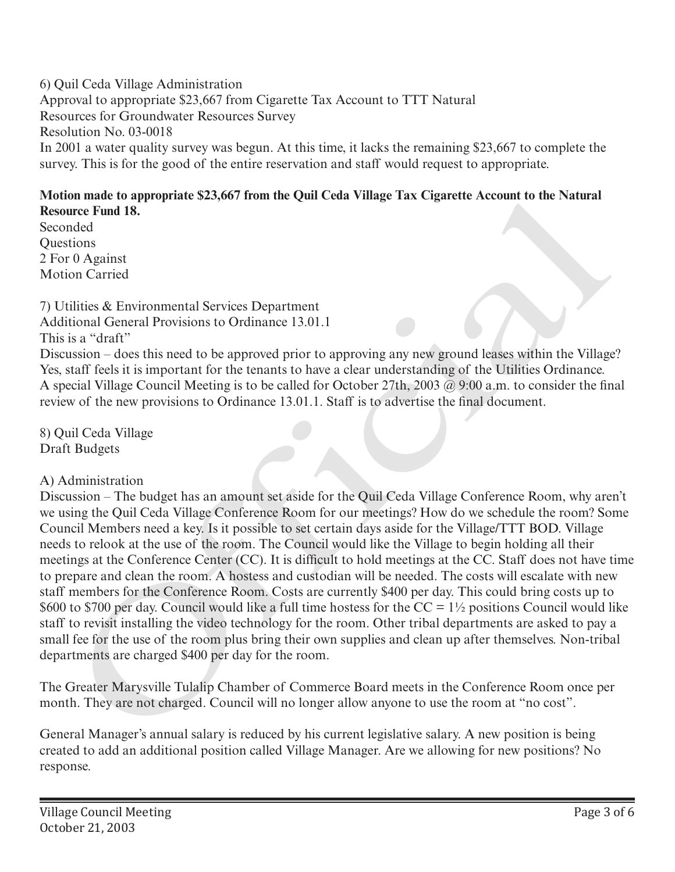6) Quil Ceda Village Administration Approval to appropriate \$23,667 from Cigarette Tax Account to TTT Natural Resources for Groundwater Resources Survey Resolution No. 03-0018 In 2001 a water quality survey was begun. At this time, it lacks the remaining \$23,667 to complete the survey. This is for the good of the entire reservation and staff would request to appropriate.

# **Motion made to appropriate \$23,667 from the Quil Ceda Village Tax Cigarette Account to the Natural Resource Fund 18.**

Seconded **Ouestions** 2 For 0 Against Motion Carried

7) Utilities & Environmental Services Department Additional General Provisions to Ordinance 13.01.1 This is a "draft"

Discussion – does this need to be approved prior to approving any new ground leases within the Village? Yes, staff feels it is important for the tenants to have a clear understanding of the Utilities Ordinance. A special Village Council Meeting is to be called for October 27th, 2003 @ 9:00 a.m. to consider the final review of the new provisions to Ordinance 13.01.1. Staff is to advertise the final document.

8) Quil Ceda Village Draft Budgets

# A) Administration

Discussion – The budget has an amount set aside for the Quil Ceda Village Conference Room, why aren't we using the Quil Ceda Village Conference Room for our meetings? How do we schedule the room? Some Council Members need a key. Is it possible to set certain days aside for the Village/TTT BOD. Village needs to relook at the use of the room. The Council would like the Village to begin holding all their meetings at the Conference Center (CC). It is difficult to hold meetings at the CC. Staff does not have time to prepare and clean the room. A hostess and custodian will be needed. The costs will escalate with new staff members for the Conference Room. Costs are currently \$400 per day. This could bring costs up to \$600 to \$700 per day. Council would like a full time hostess for the  $CC = 1\frac{1}{2}$  positions Council would like staff to revisit installing the video technology for the room. Other tribal departments are asked to pay a small fee for the use of the room plus bring their own supplies and clean up after themselves. Non-tribal departments are charged \$400 per day for the room. on made to appropriate SZA,007 / from the Quirt Ceaa Vurage Tax Cagarette Account to the Natural<br>ure Fund 18.<br>the Cagarette Account to the Natural<br>informations<br>sions<br>tions<br>tions of  $\theta$  Against<br>tions  $\theta$  and  $\theta$  and  $\theta$ 

The Greater Marysville Tulalip Chamber of Commerce Board meets in the Conference Room once per month. They are not charged. Council will no longer allow anyone to use the room at "no cost".

General Manager's annual salary is reduced by his current legislative salary. A new position is being created to add an additional position called Village Manager. Are we allowing for new positions? No response.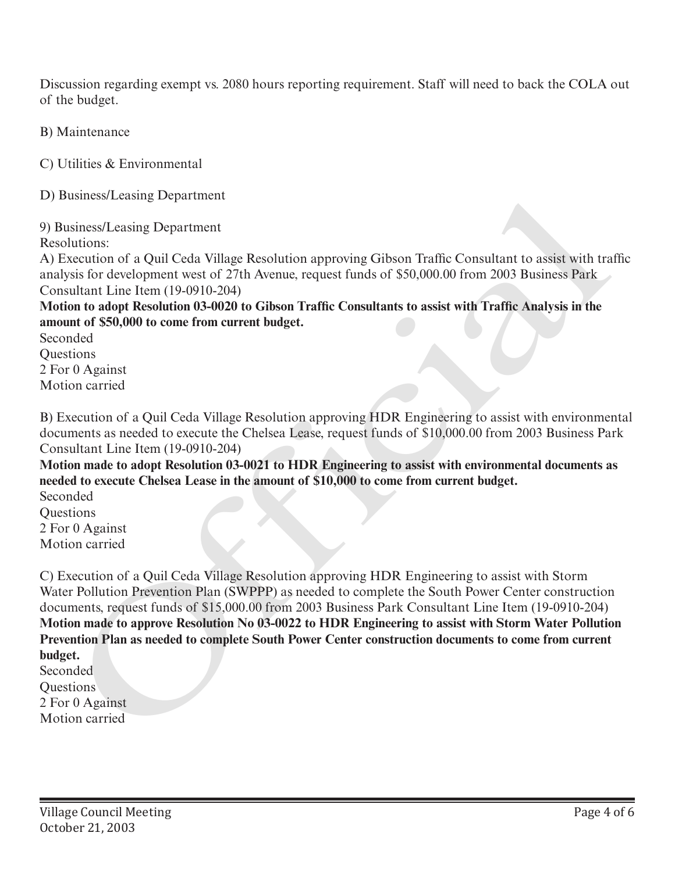Discussion regarding exempt vs. 2080 hours reporting requirement. Staff will need to back the COLA out of the budget.

B) Maintenance

C) Utilities & Environmental

D) Business/Leasing Department

9) Business/Leasing Department

Resolutions:

A) Execution of a Quil Ceda Village Resolution approving Gibson Traffic Consultant to assist with traffic analysis for development west of 27th Avenue, request funds of \$50,000.00 from 2003 Business Park Consultant Line Item (19-0910-204)

**Motion to adopt Resolution 03-0020 to Gibson Traffic Consultants to assist with Traffic Analysis in the amount of \$50,000 to come from current budget.**

Seconded **Ouestions** 2 For 0 Against Motion carried

B) Execution of a Quil Ceda Village Resolution approving HDR Engineering to assist with environmental documents as needed to execute the Chelsea Lease, request funds of \$10,000.00 from 2003 Business Park Consultant Line Item (19-0910-204)

**Motion made to adopt Resolution 03-0021 to HDR Engineering to assist with environmental documents as needed to execute Chelsea Lease in the amount of \$10,000 to come from current budget.**

Seconded **Ouestions** 2 For 0 Against Motion carried

C) Execution of a Quil Ceda Village Resolution approving HDR Engineering to assist with Storm Water Pollution Prevention Plan (SWPPP) as needed to complete the South Power Center construction documents, request funds of \$15,000.00 from 2003 Business Park Consultant Line Item (19-0910-204) **Motion made to approve Resolution No 03-0022 to HDR Engineering to assist with Storm Water Pollution Prevention Plan as needed to complete South Power Center construction documents to come from current budget.** D) Business/Leasing Department<br>
8) Business/Leasing Department<br>
8) Susiness/Leasing Department<br>
Resolutions:<br>
Resolutions:<br>
Resolutions:<br>
Resolution carried Resolution approxime Galison Traffic Consultant to assist with Ta

Seconded **Ouestions** 2 For 0 Against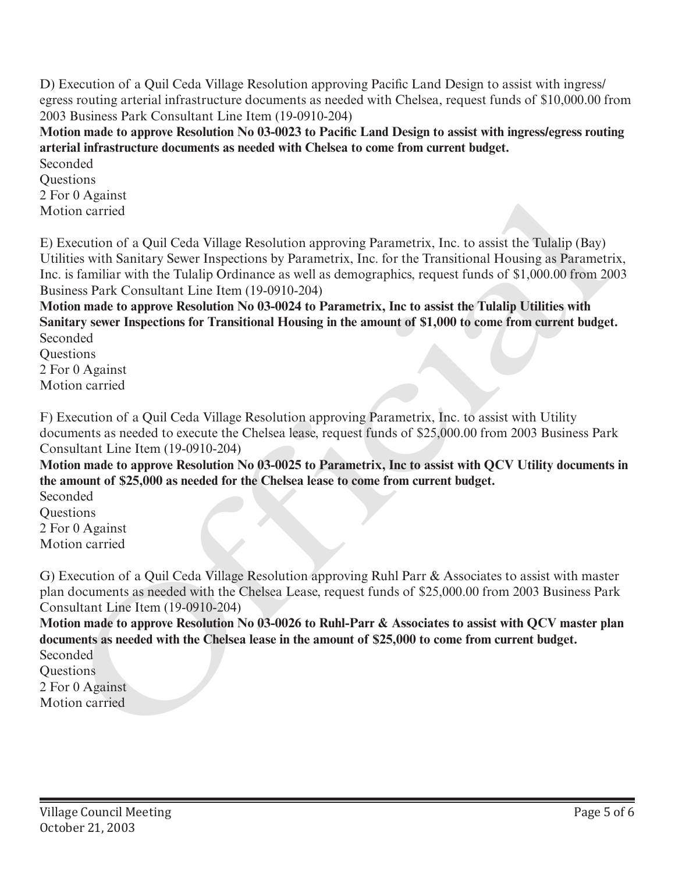D) Execution of a Quil Ceda Village Resolution approving Pacific Land Design to assist with ingress/ egress routing arterial infrastructure documents as needed with Chelsea, request funds of \$10,000.00 from 2003 Business Park Consultant Line Item (19-0910-204)

**Motion made to approve Resolution No 03-0023 to Pacific Land Design to assist with ingress/egress routing arterial infrastructure documents as needed with Chelsea to come from current budget.** Seconded

**Ouestions** 2 For 0 Against Motion carried

E) Execution of a Quil Ceda Village Resolution approving Parametrix, Inc. to assist the Tulalip (Bay) Utilities with Sanitary Sewer Inspections by Parametrix, Inc. for the Transitional Housing as Parametrix, Inc. is familiar with the Tulalip Ordinance as well as demographics, request funds of \$1,000.00 from 2003 Business Park Consultant Line Item (19-0910-204) 2 For 0 Against<br>
and Notion carried<br>
The condition of a Quil Ceda Village Resolution approving Parametrix, Inc. to assist the Tulalip (Bay)<br>
Unlines with Smittery Sever Inspections by Parametrix, Inc. for the manistorial

**Motion made to approve Resolution No 03-0024 to Parametrix, Inc to assist the Tulalip Utilities with Sanitary sewer Inspections for Transitional Housing in the amount of \$1,000 to come from current budget.** Seconded

**Ouestions** 2 For 0 Against Motion carried

F) Execution of a Quil Ceda Village Resolution approving Parametrix, Inc. to assist with Utility documents as needed to execute the Chelsea lease, request funds of \$25,000.00 from 2003 Business Park Consultant Line Item (19-0910-204)

**Motion made to approve Resolution No 03-0025 to Parametrix, Inc to assist with QCV Utility documents in the amount of \$25,000 as needed for the Chelsea lease to come from current budget.**

Seconded **Ouestions** 2 For 0 Against Motion carried

G) Execution of a Quil Ceda Village Resolution approving Ruhl Parr & Associates to assist with master plan documents as needed with the Chelsea Lease, request funds of \$25,000.00 from 2003 Business Park Consultant Line Item (19-0910-204)

**Motion made to approve Resolution No 03-0026 to Ruhl-Parr & Associates to assist with QCV master plan documents as needed with the Chelsea lease in the amount of \$25,000 to come from current budget.** Seconded

Questions 2 For 0 Against